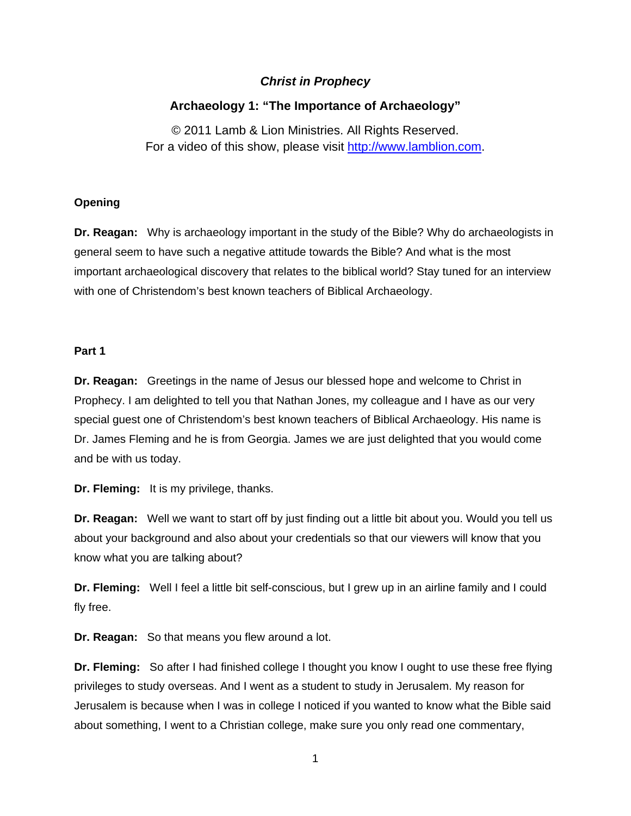# *Christ in Prophecy*

# **Archaeology 1: "The Importance of Archaeology"**

© 2011 Lamb & Lion Ministries. All Rights Reserved. For a video of this show, please visit [http://www.lamblion.com](http://www.lamblion.com/).

## **Opening**

**Dr. Reagan:** Why is archaeology important in the study of the Bible? Why do archaeologists in general seem to have such a negative attitude towards the Bible? And what is the most important archaeological discovery that relates to the biblical world? Stay tuned for an interview with one of Christendom's best known teachers of Biblical Archaeology.

## **Part 1**

**Dr. Reagan:** Greetings in the name of Jesus our blessed hope and welcome to Christ in Prophecy. I am delighted to tell you that Nathan Jones, my colleague and I have as our very special guest one of Christendom's best known teachers of Biblical Archaeology. His name is Dr. James Fleming and he is from Georgia. James we are just delighted that you would come and be with us today.

**Dr. Fleming:** It is my privilege, thanks.

**Dr. Reagan:** Well we want to start off by just finding out a little bit about you. Would you tell us about your background and also about your credentials so that our viewers will know that you know what you are talking about?

**Dr. Fleming:** Well I feel a little bit self-conscious, but I grew up in an airline family and I could fly free.

**Dr. Reagan:** So that means you flew around a lot.

**Dr. Fleming:** So after I had finished college I thought you know I ought to use these free flying privileges to study overseas. And I went as a student to study in Jerusalem. My reason for Jerusalem is because when I was in college I noticed if you wanted to know what the Bible said about something, I went to a Christian college, make sure you only read one commentary,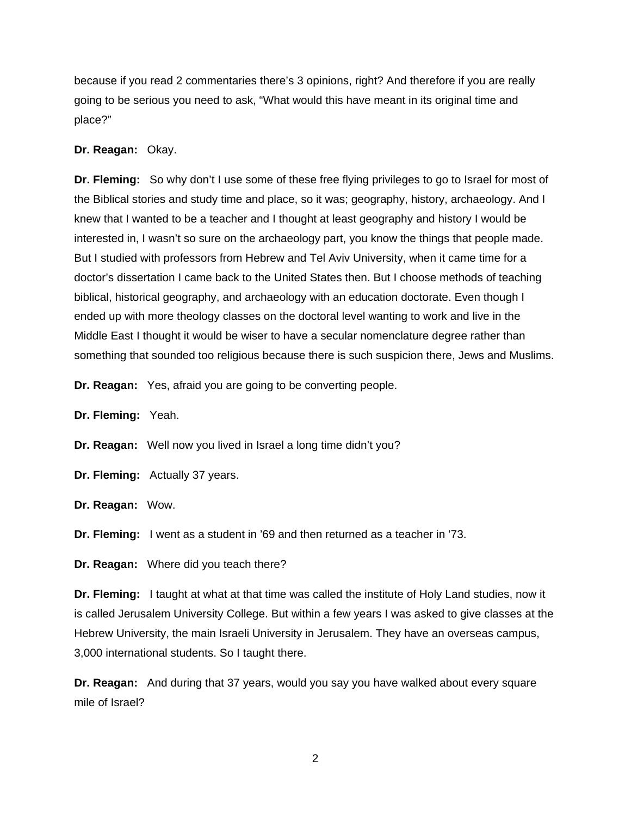because if you read 2 commentaries there's 3 opinions, right? And therefore if you are really going to be serious you need to ask, "What would this have meant in its original time and place?"

### **Dr. Reagan:** Okay.

**Dr. Fleming:** So why don't I use some of these free flying privileges to go to Israel for most of the Biblical stories and study time and place, so it was; geography, history, archaeology. And I knew that I wanted to be a teacher and I thought at least geography and history I would be interested in, I wasn't so sure on the archaeology part, you know the things that people made. But I studied with professors from Hebrew and Tel Aviv University, when it came time for a doctor's dissertation I came back to the United States then. But I choose methods of teaching biblical, historical geography, and archaeology with an education doctorate. Even though I ended up with more theology classes on the doctoral level wanting to work and live in the Middle East I thought it would be wiser to have a secular nomenclature degree rather than something that sounded too religious because there is such suspicion there, Jews and Muslims.

**Dr. Reagan:** Yes, afraid you are going to be converting people.

**Dr. Fleming:** Yeah.

**Dr. Reagan:** Well now you lived in Israel a long time didn't you?

**Dr. Fleming:** Actually 37 years.

**Dr. Reagan:** Wow.

**Dr. Fleming:** I went as a student in '69 and then returned as a teacher in '73.

**Dr. Reagan:** Where did you teach there?

**Dr. Fleming:** I taught at what at that time was called the institute of Holy Land studies, now it is called Jerusalem University College. But within a few years I was asked to give classes at the Hebrew University, the main Israeli University in Jerusalem. They have an overseas campus, 3,000 international students. So I taught there.

**Dr. Reagan:** And during that 37 years, would you say you have walked about every square mile of Israel?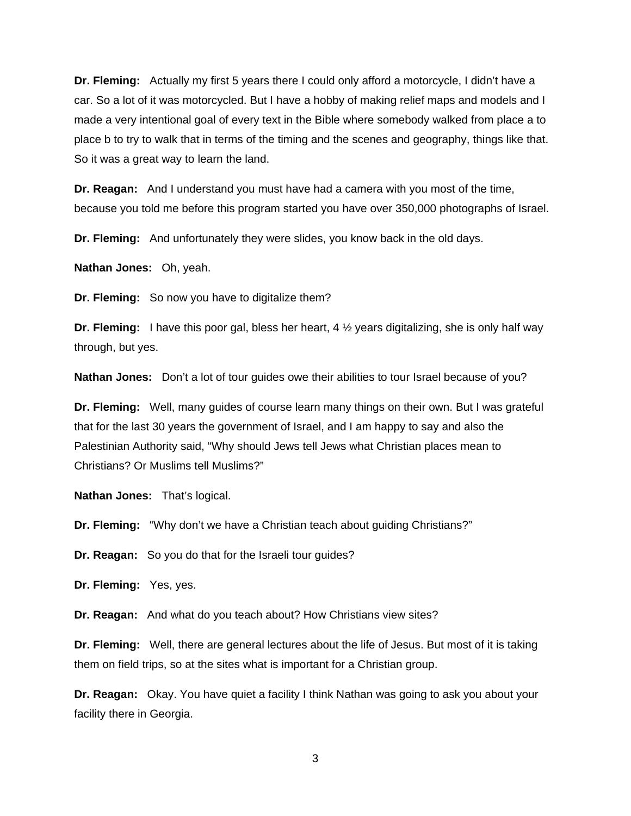**Dr. Fleming:** Actually my first 5 years there I could only afford a motorcycle, I didn't have a car. So a lot of it was motorcycled. But I have a hobby of making relief maps and models and I made a very intentional goal of every text in the Bible where somebody walked from place a to place b to try to walk that in terms of the timing and the scenes and geography, things like that. So it was a great way to learn the land.

**Dr. Reagan:** And I understand you must have had a camera with you most of the time, because you told me before this program started you have over 350,000 photographs of Israel.

**Dr. Fleming:** And unfortunately they were slides, you know back in the old days.

**Nathan Jones:** Oh, yeah.

**Dr. Fleming:** So now you have to digitalize them?

**Dr. Fleming:** I have this poor gal, bless her heart, 4 ½ years digitalizing, she is only half way through, but yes.

**Nathan Jones:** Don't a lot of tour guides owe their abilities to tour Israel because of you?

**Dr. Fleming:** Well, many guides of course learn many things on their own. But I was grateful that for the last 30 years the government of Israel, and I am happy to say and also the Palestinian Authority said, "Why should Jews tell Jews what Christian places mean to Christians? Or Muslims tell Muslims?"

**Nathan Jones:** That's logical.

**Dr. Fleming:** "Why don't we have a Christian teach about guiding Christians?"

**Dr. Reagan:** So you do that for the Israeli tour guides?

**Dr. Fleming:** Yes, yes.

**Dr. Reagan:** And what do you teach about? How Christians view sites?

**Dr. Fleming:** Well, there are general lectures about the life of Jesus. But most of it is taking them on field trips, so at the sites what is important for a Christian group.

**Dr. Reagan:** Okay. You have quiet a facility I think Nathan was going to ask you about your facility there in Georgia.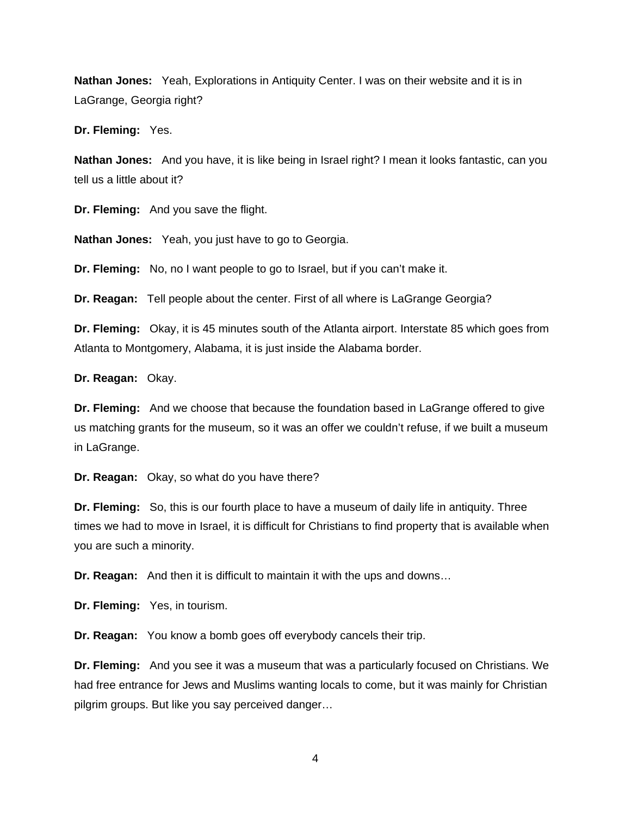**Nathan Jones:** Yeah, Explorations in Antiquity Center. I was on their website and it is in LaGrange, Georgia right?

**Dr. Fleming:** Yes.

**Nathan Jones:** And you have, it is like being in Israel right? I mean it looks fantastic, can you tell us a little about it?

**Dr. Fleming:** And you save the flight.

**Nathan Jones:** Yeah, you just have to go to Georgia.

**Dr. Fleming:** No, no I want people to go to Israel, but if you can't make it.

**Dr. Reagan:** Tell people about the center. First of all where is LaGrange Georgia?

**Dr. Fleming:** Okay, it is 45 minutes south of the Atlanta airport. Interstate 85 which goes from Atlanta to Montgomery, Alabama, it is just inside the Alabama border.

**Dr. Reagan:** Okay.

**Dr. Fleming:** And we choose that because the foundation based in LaGrange offered to give us matching grants for the museum, so it was an offer we couldn't refuse, if we built a museum in LaGrange.

**Dr. Reagan:** Okay, so what do you have there?

**Dr. Fleming:** So, this is our fourth place to have a museum of daily life in antiquity. Three times we had to move in Israel, it is difficult for Christians to find property that is available when you are such a minority.

**Dr. Reagan:** And then it is difficult to maintain it with the ups and downs…

**Dr. Fleming:** Yes, in tourism.

**Dr. Reagan:** You know a bomb goes off everybody cancels their trip.

**Dr. Fleming:** And you see it was a museum that was a particularly focused on Christians. We had free entrance for Jews and Muslims wanting locals to come, but it was mainly for Christian pilgrim groups. But like you say perceived danger…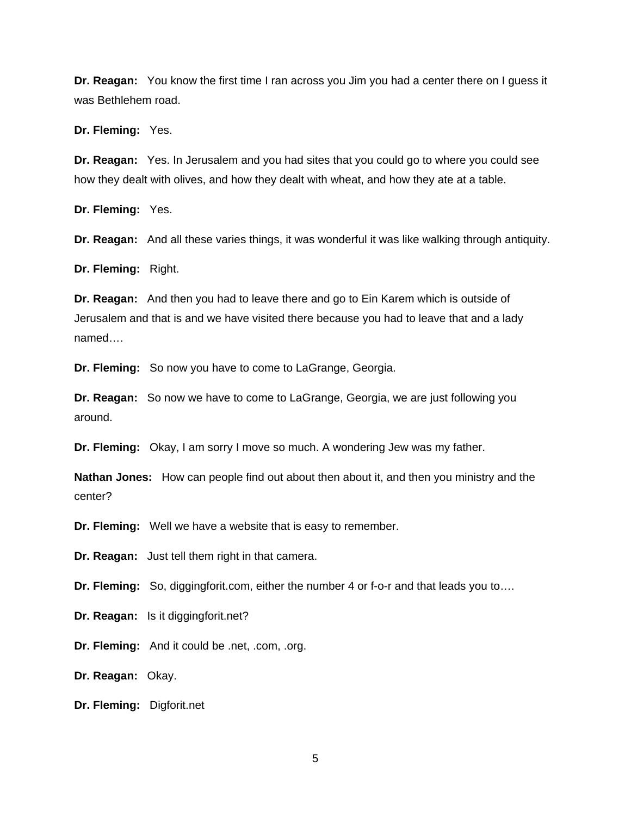**Dr. Reagan:** You know the first time I ran across you Jim you had a center there on I guess it was Bethlehem road.

**Dr. Fleming:** Yes.

**Dr. Reagan:** Yes. In Jerusalem and you had sites that you could go to where you could see how they dealt with olives, and how they dealt with wheat, and how they ate at a table.

**Dr. Fleming:** Yes.

**Dr. Reagan:** And all these varies things, it was wonderful it was like walking through antiquity.

**Dr. Fleming:** Right.

**Dr. Reagan:** And then you had to leave there and go to Ein Karem which is outside of Jerusalem and that is and we have visited there because you had to leave that and a lady named….

**Dr. Fleming:** So now you have to come to LaGrange, Georgia.

**Dr. Reagan:** So now we have to come to LaGrange, Georgia, we are just following you around.

**Dr. Fleming:** Okay, I am sorry I move so much. A wondering Jew was my father.

**Nathan Jones:** How can people find out about then about it, and then you ministry and the center?

**Dr. Fleming:** Well we have a website that is easy to remember.

**Dr. Reagan:** Just tell them right in that camera.

**Dr. Fleming:** So, diggingforit.com, either the number 4 or f-o-r and that leads you to….

**Dr. Reagan:** Is it diggingforit.net?

**Dr. Fleming:** And it could be .net, .com, .org.

**Dr. Reagan:** Okay.

**Dr. Fleming:** Digforit.net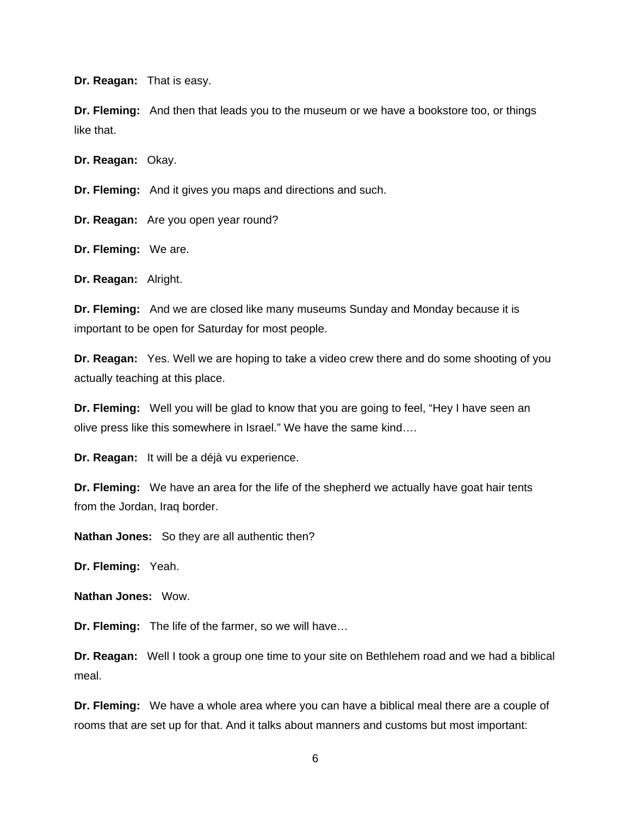**Dr. Reagan:** That is easy.

**Dr. Fleming:** And then that leads you to the museum or we have a bookstore too, or things like that.

**Dr. Reagan:** Okay.

**Dr. Fleming:** And it gives you maps and directions and such.

**Dr. Reagan:** Are you open year round?

**Dr. Fleming:** We are.

**Dr. Reagan:** Alright.

**Dr. Fleming:** And we are closed like many museums Sunday and Monday because it is important to be open for Saturday for most people.

**Dr. Reagan:** Yes. Well we are hoping to take a video crew there and do some shooting of you actually teaching at this place.

**Dr. Fleming:** Well you will be glad to know that you are going to feel, "Hey I have seen an olive press like this somewhere in Israel." We have the same kind….

**Dr. Reagan:** It will be a déjà vu experience.

**Dr. Fleming:** We have an area for the life of the shepherd we actually have goat hair tents from the Jordan, Iraq border.

**Nathan Jones:** So they are all authentic then?

**Dr. Fleming:** Yeah.

**Nathan Jones:** Wow.

**Dr. Fleming:** The life of the farmer, so we will have…

**Dr. Reagan:** Well I took a group one time to your site on Bethlehem road and we had a biblical meal.

**Dr. Fleming:** We have a whole area where you can have a biblical meal there are a couple of rooms that are set up for that. And it talks about manners and customs but most important: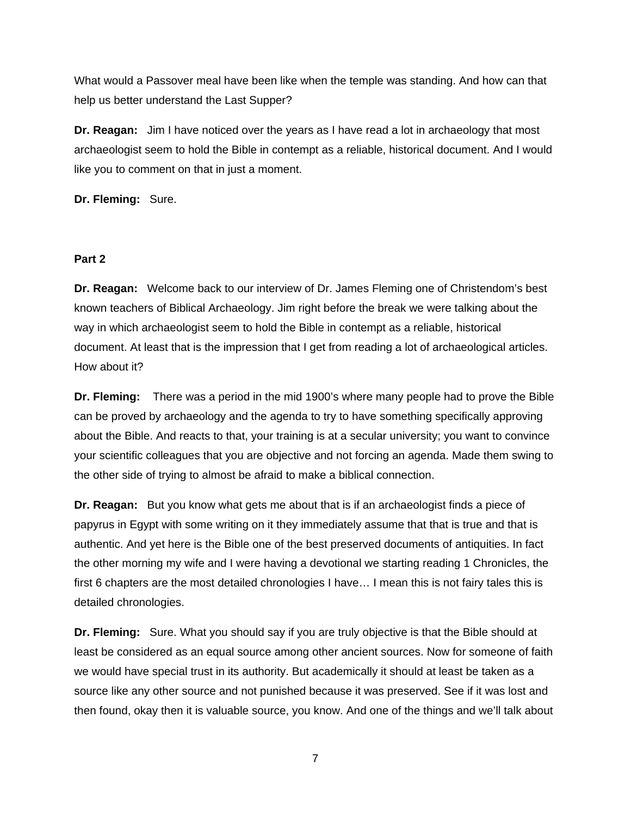What would a Passover meal have been like when the temple was standing. And how can that help us better understand the Last Supper?

**Dr. Reagan:** Jim I have noticed over the years as I have read a lot in archaeology that most archaeologist seem to hold the Bible in contempt as a reliable, historical document. And I would like you to comment on that in just a moment.

**Dr. Fleming:** Sure.

# **Part 2**

**Dr. Reagan:** Welcome back to our interview of Dr. James Fleming one of Christendom's best known teachers of Biblical Archaeology. Jim right before the break we were talking about the way in which archaeologist seem to hold the Bible in contempt as a reliable, historical document. At least that is the impression that I get from reading a lot of archaeological articles. How about it?

**Dr. Fleming:** There was a period in the mid 1900's where many people had to prove the Bible can be proved by archaeology and the agenda to try to have something specifically approving about the Bible. And reacts to that, your training is at a secular university; you want to convince your scientific colleagues that you are objective and not forcing an agenda. Made them swing to the other side of trying to almost be afraid to make a biblical connection.

**Dr. Reagan:** But you know what gets me about that is if an archaeologist finds a piece of papyrus in Egypt with some writing on it they immediately assume that that is true and that is authentic. And yet here is the Bible one of the best preserved documents of antiquities. In fact the other morning my wife and I were having a devotional we starting reading 1 Chronicles, the first 6 chapters are the most detailed chronologies I have… I mean this is not fairy tales this is detailed chronologies.

**Dr. Fleming:** Sure. What you should say if you are truly objective is that the Bible should at least be considered as an equal source among other ancient sources. Now for someone of faith we would have special trust in its authority. But academically it should at least be taken as a source like any other source and not punished because it was preserved. See if it was lost and then found, okay then it is valuable source, you know. And one of the things and we'll talk about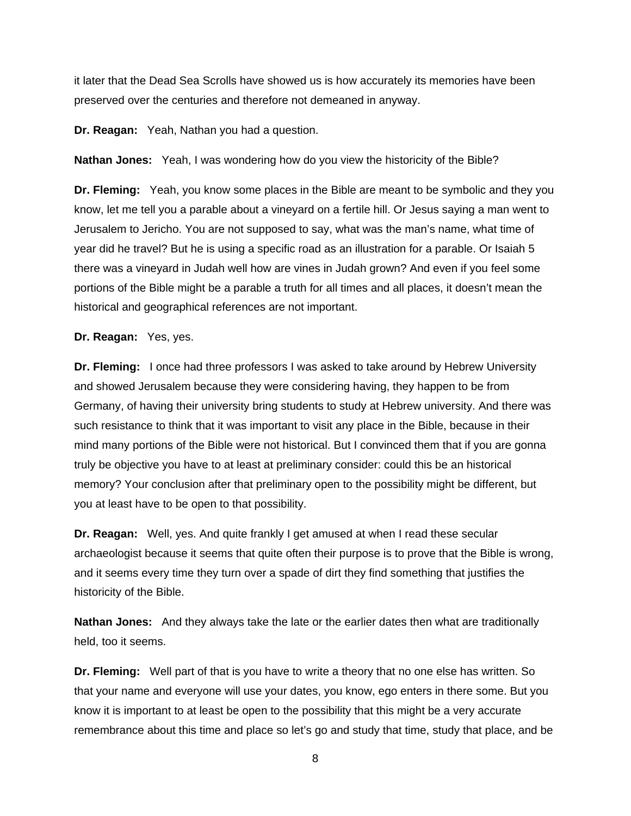it later that the Dead Sea Scrolls have showed us is how accurately its memories have been preserved over the centuries and therefore not demeaned in anyway.

**Dr. Reagan:** Yeah, Nathan you had a question.

**Nathan Jones:** Yeah, I was wondering how do you view the historicity of the Bible?

**Dr. Fleming:** Yeah, you know some places in the Bible are meant to be symbolic and they you know, let me tell you a parable about a vineyard on a fertile hill. Or Jesus saying a man went to Jerusalem to Jericho. You are not supposed to say, what was the man's name, what time of year did he travel? But he is using a specific road as an illustration for a parable. Or Isaiah 5 there was a vineyard in Judah well how are vines in Judah grown? And even if you feel some portions of the Bible might be a parable a truth for all times and all places, it doesn't mean the historical and geographical references are not important.

**Dr. Reagan:** Yes, yes.

**Dr. Fleming:** I once had three professors I was asked to take around by Hebrew University and showed Jerusalem because they were considering having, they happen to be from Germany, of having their university bring students to study at Hebrew university. And there was such resistance to think that it was important to visit any place in the Bible, because in their mind many portions of the Bible were not historical. But I convinced them that if you are gonna truly be objective you have to at least at preliminary consider: could this be an historical memory? Your conclusion after that preliminary open to the possibility might be different, but you at least have to be open to that possibility.

**Dr. Reagan:** Well, yes. And quite frankly I get amused at when I read these secular archaeologist because it seems that quite often their purpose is to prove that the Bible is wrong, and it seems every time they turn over a spade of dirt they find something that justifies the historicity of the Bible.

**Nathan Jones:** And they always take the late or the earlier dates then what are traditionally held, too it seems.

**Dr. Fleming:** Well part of that is you have to write a theory that no one else has written. So that your name and everyone will use your dates, you know, ego enters in there some. But you know it is important to at least be open to the possibility that this might be a very accurate remembrance about this time and place so let's go and study that time, study that place, and be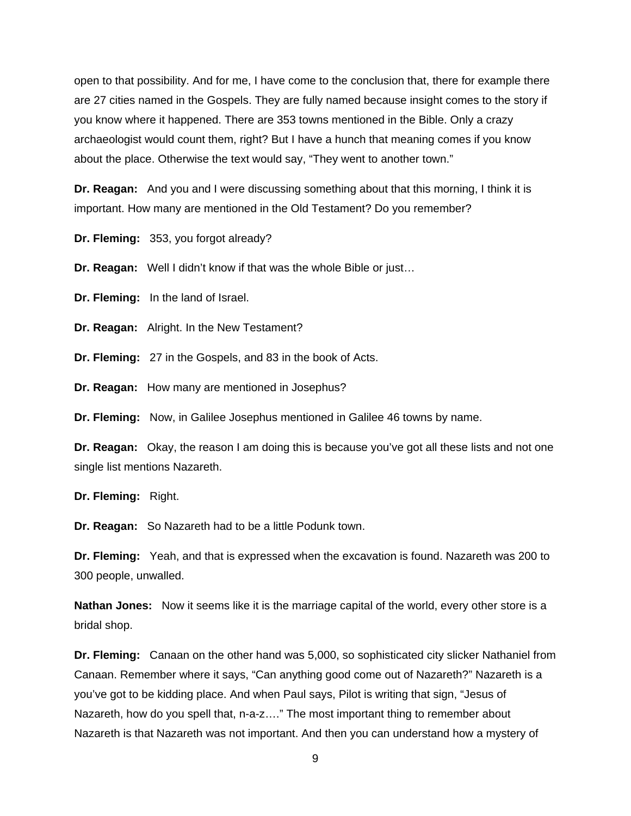open to that possibility. And for me, I have come to the conclusion that, there for example there are 27 cities named in the Gospels. They are fully named because insight comes to the story if you know where it happened. There are 353 towns mentioned in the Bible. Only a crazy archaeologist would count them, right? But I have a hunch that meaning comes if you know about the place. Otherwise the text would say, "They went to another town."

**Dr. Reagan:** And you and I were discussing something about that this morning, I think it is important. How many are mentioned in the Old Testament? Do you remember?

**Dr. Fleming:** 353, you forgot already?

**Dr. Reagan:** Well I didn't know if that was the whole Bible or just…

**Dr. Fleming:** In the land of Israel.

**Dr. Reagan:** Alright. In the New Testament?

**Dr. Fleming:** 27 in the Gospels, and 83 in the book of Acts.

**Dr. Reagan:** How many are mentioned in Josephus?

**Dr. Fleming:** Now, in Galilee Josephus mentioned in Galilee 46 towns by name.

**Dr. Reagan:** Okay, the reason I am doing this is because you've got all these lists and not one single list mentions Nazareth.

**Dr. Fleming:** Right.

**Dr. Reagan:** So Nazareth had to be a little Podunk town.

**Dr. Fleming:** Yeah, and that is expressed when the excavation is found. Nazareth was 200 to 300 people, unwalled.

**Nathan Jones:** Now it seems like it is the marriage capital of the world, every other store is a bridal shop.

**Dr. Fleming:** Canaan on the other hand was 5,000, so sophisticated city slicker Nathaniel from Canaan. Remember where it says, "Can anything good come out of Nazareth?" Nazareth is a you've got to be kidding place. And when Paul says, Pilot is writing that sign, "Jesus of Nazareth, how do you spell that, n-a-z…." The most important thing to remember about Nazareth is that Nazareth was not important. And then you can understand how a mystery of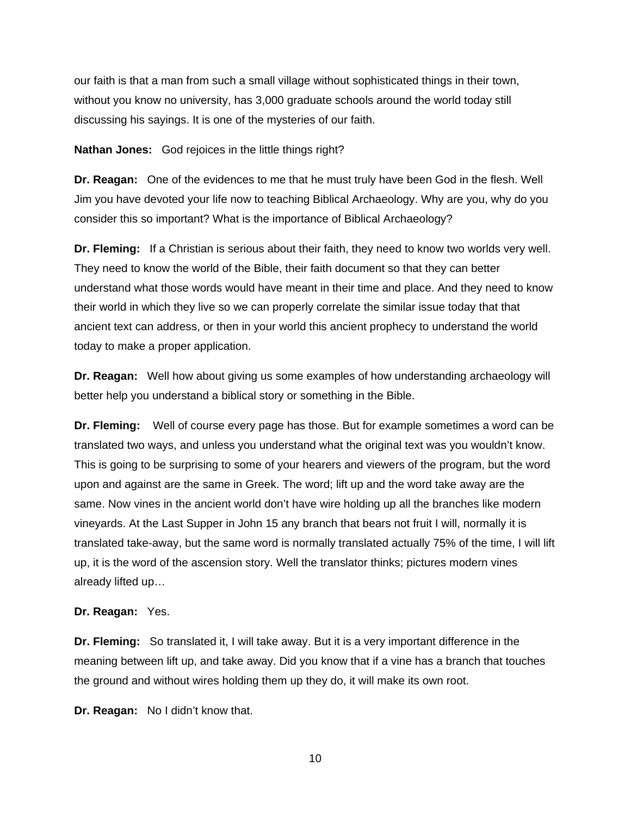our faith is that a man from such a small village without sophisticated things in their town, without you know no university, has 3,000 graduate schools around the world today still discussing his sayings. It is one of the mysteries of our faith.

**Nathan Jones:** God rejoices in the little things right?

**Dr. Reagan:** One of the evidences to me that he must truly have been God in the flesh. Well Jim you have devoted your life now to teaching Biblical Archaeology. Why are you, why do you consider this so important? What is the importance of Biblical Archaeology?

**Dr. Fleming:** If a Christian is serious about their faith, they need to know two worlds very well. They need to know the world of the Bible, their faith document so that they can better understand what those words would have meant in their time and place. And they need to know their world in which they live so we can properly correlate the similar issue today that that ancient text can address, or then in your world this ancient prophecy to understand the world today to make a proper application.

**Dr. Reagan:** Well how about giving us some examples of how understanding archaeology will better help you understand a biblical story or something in the Bible.

**Dr. Fleming:** Well of course every page has those. But for example sometimes a word can be translated two ways, and unless you understand what the original text was you wouldn't know. This is going to be surprising to some of your hearers and viewers of the program, but the word upon and against are the same in Greek. The word; lift up and the word take away are the same. Now vines in the ancient world don't have wire holding up all the branches like modern vineyards. At the Last Supper in John 15 any branch that bears not fruit I will, normally it is translated take-away, but the same word is normally translated actually 75% of the time, I will lift up, it is the word of the ascension story. Well the translator thinks; pictures modern vines already lifted up…

### **Dr. Reagan:** Yes.

**Dr. Fleming:** So translated it, I will take away. But it is a very important difference in the meaning between lift up, and take away. Did you know that if a vine has a branch that touches the ground and without wires holding them up they do, it will make its own root.

**Dr. Reagan:** No I didn't know that.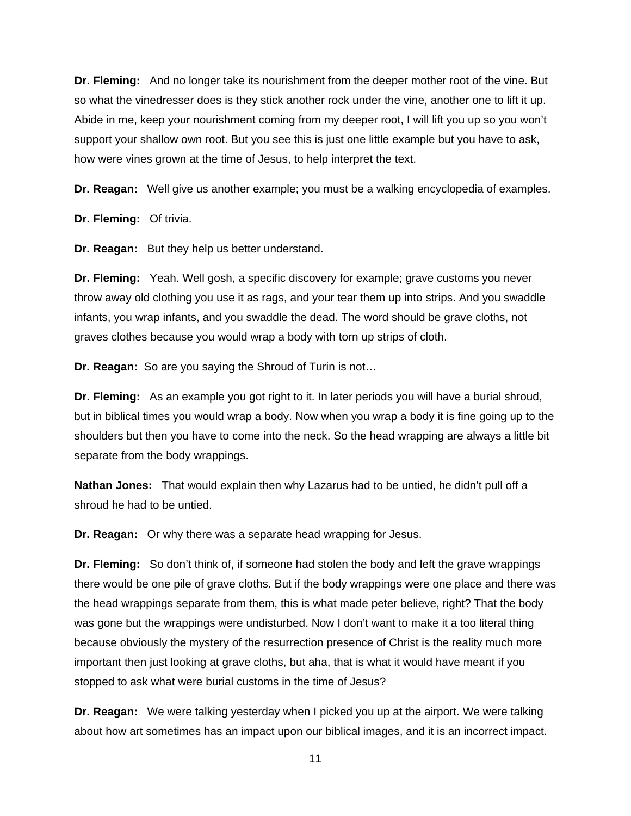**Dr. Fleming:** And no longer take its nourishment from the deeper mother root of the vine. But so what the vinedresser does is they stick another rock under the vine, another one to lift it up. Abide in me, keep your nourishment coming from my deeper root, I will lift you up so you won't support your shallow own root. But you see this is just one little example but you have to ask, how were vines grown at the time of Jesus, to help interpret the text.

**Dr. Reagan:** Well give us another example; you must be a walking encyclopedia of examples.

**Dr. Fleming:** Of trivia.

**Dr. Reagan:** But they help us better understand.

**Dr. Fleming:** Yeah. Well gosh, a specific discovery for example; grave customs you never throw away old clothing you use it as rags, and your tear them up into strips. And you swaddle infants, you wrap infants, and you swaddle the dead. The word should be grave cloths, not graves clothes because you would wrap a body with torn up strips of cloth.

**Dr. Reagan:** So are you saying the Shroud of Turin is not…

**Dr. Fleming:** As an example you got right to it. In later periods you will have a burial shroud, but in biblical times you would wrap a body. Now when you wrap a body it is fine going up to the shoulders but then you have to come into the neck. So the head wrapping are always a little bit separate from the body wrappings.

**Nathan Jones:** That would explain then why Lazarus had to be untied, he didn't pull off a shroud he had to be untied.

**Dr. Reagan:** Or why there was a separate head wrapping for Jesus.

**Dr. Fleming:** So don't think of, if someone had stolen the body and left the grave wrappings there would be one pile of grave cloths. But if the body wrappings were one place and there was the head wrappings separate from them, this is what made peter believe, right? That the body was gone but the wrappings were undisturbed. Now I don't want to make it a too literal thing because obviously the mystery of the resurrection presence of Christ is the reality much more important then just looking at grave cloths, but aha, that is what it would have meant if you stopped to ask what were burial customs in the time of Jesus?

**Dr. Reagan:** We were talking yesterday when I picked you up at the airport. We were talking about how art sometimes has an impact upon our biblical images, and it is an incorrect impact.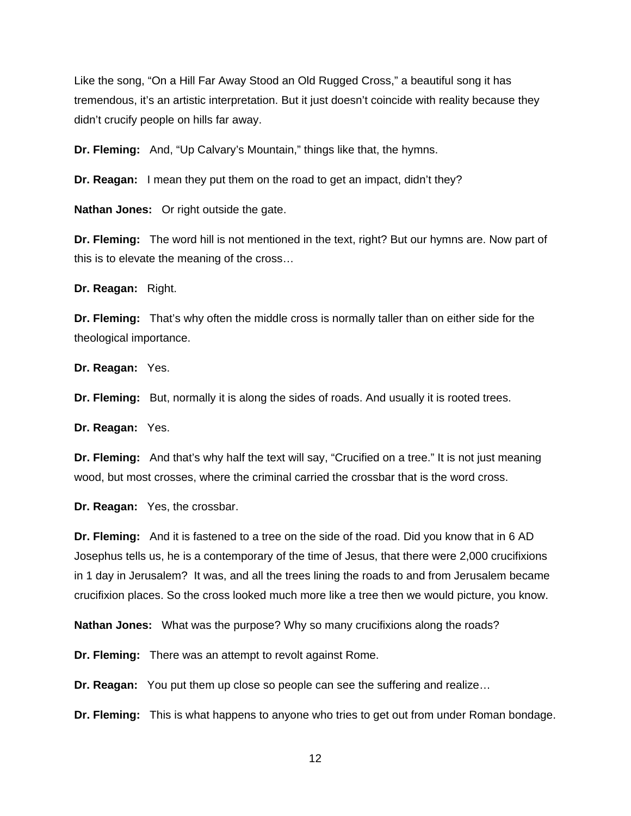Like the song, "On a Hill Far Away Stood an Old Rugged Cross," a beautiful song it has tremendous, it's an artistic interpretation. But it just doesn't coincide with reality because they didn't crucify people on hills far away.

**Dr. Fleming:** And, "Up Calvary's Mountain," things like that, the hymns.

**Dr. Reagan:** I mean they put them on the road to get an impact, didn't they?

**Nathan Jones:** Or right outside the gate.

**Dr. Fleming:** The word hill is not mentioned in the text, right? But our hymns are. Now part of this is to elevate the meaning of the cross…

**Dr. Reagan:** Right.

**Dr. Fleming:** That's why often the middle cross is normally taller than on either side for the theological importance.

**Dr. Reagan:** Yes.

**Dr. Fleming:** But, normally it is along the sides of roads. And usually it is rooted trees.

**Dr. Reagan:** Yes.

**Dr. Fleming:** And that's why half the text will say, "Crucified on a tree." It is not just meaning wood, but most crosses, where the criminal carried the crossbar that is the word cross.

**Dr. Reagan:** Yes, the crossbar.

**Dr. Fleming:** And it is fastened to a tree on the side of the road. Did you know that in 6 AD Josephus tells us, he is a contemporary of the time of Jesus, that there were 2,000 crucifixions in 1 day in Jerusalem? It was, and all the trees lining the roads to and from Jerusalem became crucifixion places. So the cross looked much more like a tree then we would picture, you know.

**Nathan Jones:** What was the purpose? Why so many crucifixions along the roads?

**Dr. Fleming:** There was an attempt to revolt against Rome.

**Dr. Reagan:** You put them up close so people can see the suffering and realize…

**Dr. Fleming:** This is what happens to anyone who tries to get out from under Roman bondage.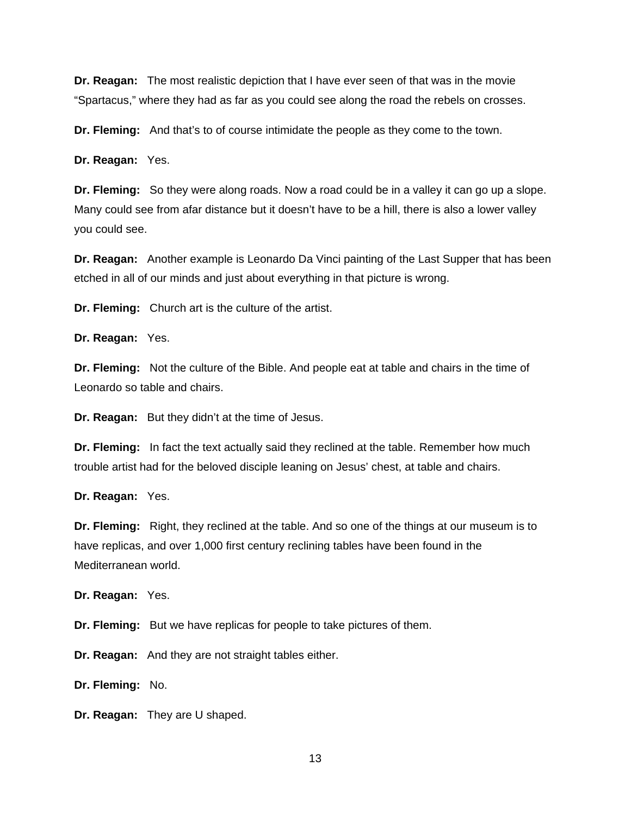**Dr. Reagan:** The most realistic depiction that I have ever seen of that was in the movie "Spartacus," where they had as far as you could see along the road the rebels on crosses.

**Dr. Fleming:** And that's to of course intimidate the people as they come to the town.

**Dr. Reagan:** Yes.

**Dr. Fleming:** So they were along roads. Now a road could be in a valley it can go up a slope. Many could see from afar distance but it doesn't have to be a hill, there is also a lower valley you could see.

**Dr. Reagan:** Another example is Leonardo Da Vinci painting of the Last Supper that has been etched in all of our minds and just about everything in that picture is wrong.

**Dr. Fleming:** Church art is the culture of the artist.

**Dr. Reagan:** Yes.

**Dr. Fleming:** Not the culture of the Bible. And people eat at table and chairs in the time of Leonardo so table and chairs.

**Dr. Reagan:** But they didn't at the time of Jesus.

**Dr. Fleming:** In fact the text actually said they reclined at the table. Remember how much trouble artist had for the beloved disciple leaning on Jesus' chest, at table and chairs.

**Dr. Reagan:** Yes.

**Dr. Fleming:** Right, they reclined at the table. And so one of the things at our museum is to have replicas, and over 1,000 first century reclining tables have been found in the Mediterranean world.

**Dr. Reagan:** Yes.

**Dr. Fleming:** But we have replicas for people to take pictures of them.

**Dr. Reagan:** And they are not straight tables either.

**Dr. Fleming:** No.

**Dr. Reagan:** They are U shaped.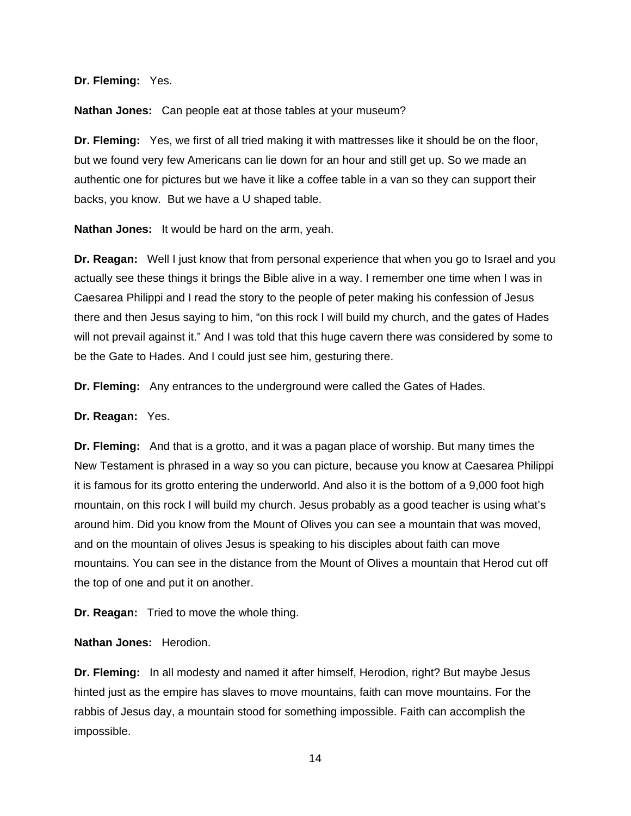### **Dr. Fleming:** Yes.

**Nathan Jones:** Can people eat at those tables at your museum?

**Dr. Fleming:** Yes, we first of all tried making it with mattresses like it should be on the floor, but we found very few Americans can lie down for an hour and still get up. So we made an authentic one for pictures but we have it like a coffee table in a van so they can support their backs, you know. But we have a U shaped table.

**Nathan Jones:** It would be hard on the arm, yeah.

**Dr. Reagan:** Well I just know that from personal experience that when you go to Israel and you actually see these things it brings the Bible alive in a way. I remember one time when I was in Caesarea Philippi and I read the story to the people of peter making his confession of Jesus there and then Jesus saying to him, "on this rock I will build my church, and the gates of Hades will not prevail against it." And I was told that this huge cavern there was considered by some to be the Gate to Hades. And I could just see him, gesturing there.

**Dr. Fleming:** Any entrances to the underground were called the Gates of Hades.

#### **Dr. Reagan:** Yes.

**Dr. Fleming:** And that is a grotto, and it was a pagan place of worship. But many times the New Testament is phrased in a way so you can picture, because you know at Caesarea Philippi it is famous for its grotto entering the underworld. And also it is the bottom of a 9,000 foot high mountain, on this rock I will build my church. Jesus probably as a good teacher is using what's around him. Did you know from the Mount of Olives you can see a mountain that was moved, and on the mountain of olives Jesus is speaking to his disciples about faith can move mountains. You can see in the distance from the Mount of Olives a mountain that Herod cut off the top of one and put it on another.

**Dr. Reagan:** Tried to move the whole thing.

**Nathan Jones:** Herodion.

**Dr. Fleming:** In all modesty and named it after himself, Herodion, right? But maybe Jesus hinted just as the empire has slaves to move mountains, faith can move mountains. For the rabbis of Jesus day, a mountain stood for something impossible. Faith can accomplish the impossible.